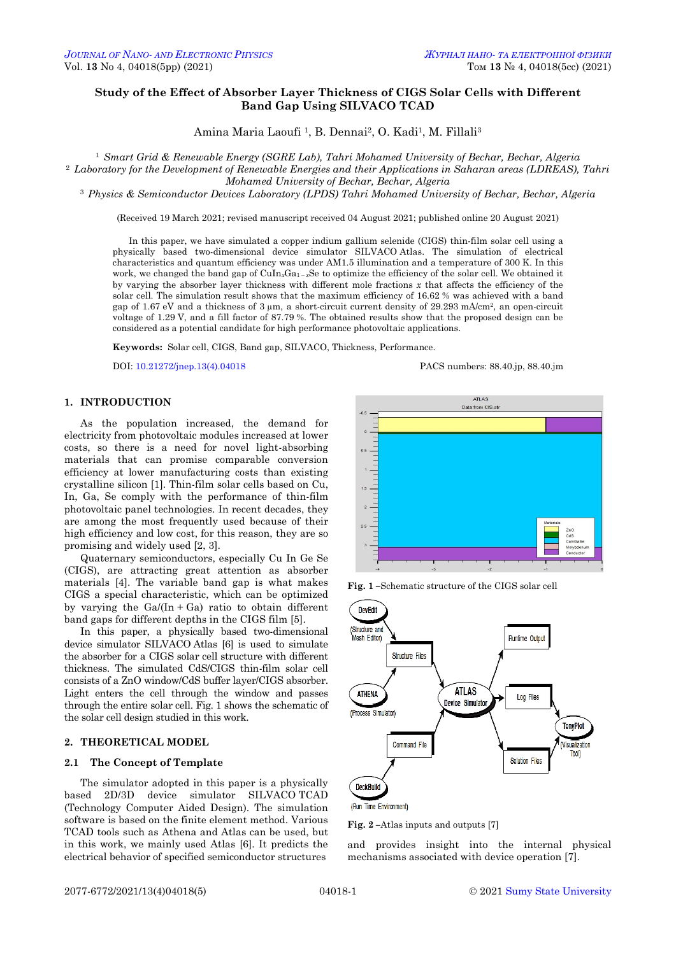# **Study of the Effect of Absorber Layer Thickness of CIGS Solar Cells with Different Band Gap Using SILVACO TCAD**

Amina Maria Laoufi<sup>1</sup>, B. Dennai<sup>2</sup>, O. Kadi<sup>1</sup>, M. Fillali<sup>3</sup>

<sup>1</sup> *Smart Grid & Renewable Energy (SGRE Lab), Tahri Mohamed University of Bechar, Bechar, Algeria*

<sup>2</sup> *Laboratory for the Development of Renewable Energies and their Applications in Saharan areas (LDREAS), Tahri* 

*Mohamed University of Bechar, Bechar, Algeria*

<sup>3</sup> *Physics & Semiconductor Devices Laboratory (LPDS) Tahri Mohamed University of Bechar, Bechar, Algeria*

(Received 19 March 2021; revised manuscript received 04 August 2021; published online 20 August 2021)

In this paper, we have simulated a copper indium gallium selenide (CIGS) thin-film solar cell using a physically based two-dimensional device simulator SILVACO Atlas. The simulation of electrical characteristics and quantum efficiency was under AM1.5 illumination and a temperature of 300 K. In this work, we changed the band gap of CuIn<sub>x</sub>Ga<sub>1 – *x*Se to optimize the efficiency of the solar cell. We obtained it</sub> by varying the absorber layer thickness with different mole fractions *x* that affects the efficiency of the solar cell. The simulation result shows that the maximum efficiency of 16.62 % was achieved with a band gap of 1.67 eV and a thickness of 3 µm, a short-circuit current density of 29.293 mA/cm2, an open-circuit voltage of 1.29 V, and a fill factor of 87.79 %. The obtained results show that the proposed design can be considered as a potential candidate for high performance photovoltaic applications.

**Keywords:** Solar cell, CIGS, Band gap, SILVACO, Thickness, Performance.

DOI[: 10.21272/jnep.13\(4\).04018](https://doi.org/10.21272/jnep.13(4).04018) PACS numbers: 88.40.jp, 88.40.jm

# **1. INTRODUCTION**

As the population increased, the demand for electricity from photovoltaic modules increased at lower costs, so there is a need for novel light-absorbing materials that can promise comparable conversion efficiency at lower manufacturing costs than existing crystalline silicon [1]. Thin-film solar cells based on Cu, In, Ga, Se comply with the performance of thin-film photovoltaic panel technologies. In recent decades, they are among the most frequently used because of their high efficiency and low cost, for this reason, they are so promising and widely used [2, 3].

Quaternary semiconductors, especially Cu In Ge Se (CIGS), are attracting great attention as absorber materials [4]. The variable band gap is what makes CIGS a special characteristic, which can be optimized by varying the  $Ga/(In + Ga)$  ratio to obtain different band gaps for different depths in the CIGS film [5].

In this paper, a physically based two-dimensional device simulator SILVACO Atlas [6] is used to simulate the absorber for a CIGS solar cell structure with different thickness. The simulated CdS/CIGS thin-film solar cell consists of a ZnO window/CdS buffer layer/CIGS absorber. Light enters the cell through the window and passes through the entire solar cell. Fig. 1 shows the schematic of the solar cell design studied in this work.

## **2. THEORETICAL MODEL**

#### **2.1 The Concept of Template**

<span id="page-0-3"></span><span id="page-0-2"></span><span id="page-0-1"></span><span id="page-0-0"></span>The simulator adopted in this paper is a physically based 2D/3D device simulator SILVACO TCAD (Technology Computer Aided Design). The simulation software is based on the finite element method. Various TCAD tools such as Athena and Atlas can be used, but in this work, we mainly used Atlas [6]. It predicts the electrical behavior of specified semiconductor structures



**Fig. 1 –**Schematic structure of the CIGS solar cell



(Run Time Environment)

**Fig. 2 –**Atlas inputs and outputs [7]

and provides insight into the internal physical mechanisms associated with device operation [7].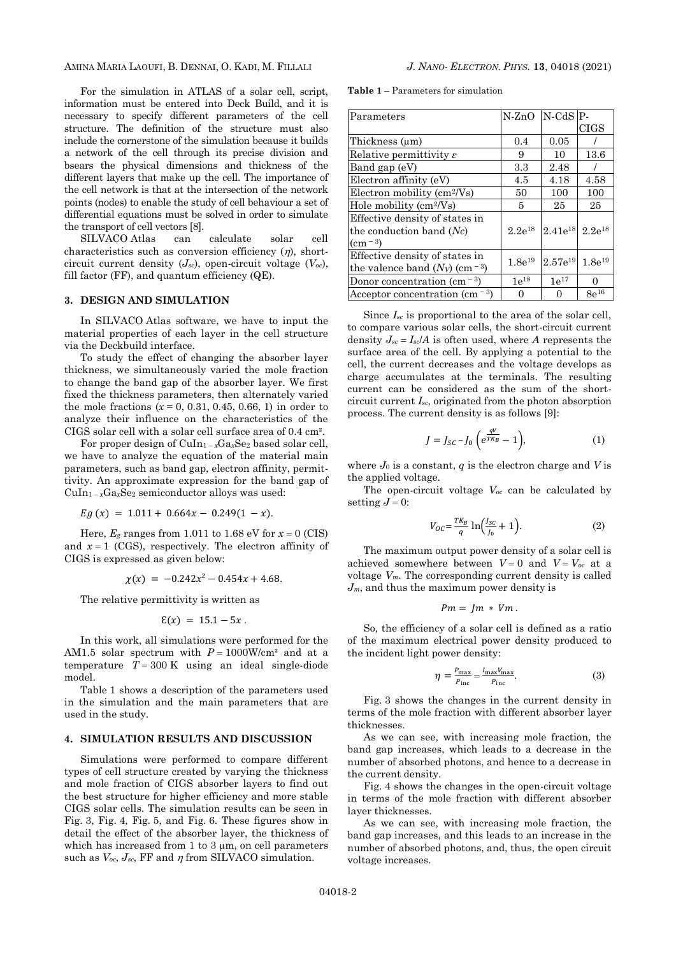### AMINA MARIA LAOUFI, B. DENNAI, O. KADI, M. FILLALI *J. NANO- ELECTRON. PHYS.* **[13](#page-0-2)**, [04018](#page-0-2) [\(2021\)](#page-0-2)

For the simulation in ATLAS of a solar cell, script, information must be entered into Deck Build, and it is necessary to specify different parameters of the cell structure. The definition of the structure must also include the cornerstone of the simulation because it builds a network of the cell through its precise division and bsears the physical dimensions and thickness of the different layers that make up the cell. The importance of the cell network is that at the intersection of the network points (nodes) to enable the study of cell behaviour a set of differential equations must be solved in order to simulate the transport of cell vectors [8].

SILVACO Atlas can calculate solar cell characteristics such as conversion efficiency  $(\eta)$ , shortcircuit current density  $(J_{sc})$ , open-circuit voltage  $(V_{oc})$ , fill factor (FF), and quantum efficiency (QE).

### **3. DESIGN AND SIMULATION**

In SILVACO Atlas software, we have to input the material properties of each layer in the cell structure via the Deckbuild interface.

To study the effect of changing the absorber layer thickness, we simultaneously varied the mole fraction to change the band gap of the absorber layer. We first fixed the thickness parameters, then alternately varied the mole fractions  $(x = 0, 0.31, 0.45, 0.66, 1)$  in order to analyze their influence on the characteristics of the CIGS solar cell with a solar cell surface area of 0.4 cm².

For proper design of CuIn<sup>1</sup> – *<sup>x</sup>*Ga*x*Se<sup>2</sup> based solar cell, we have to analyze the equation of the material main parameters, such as band gap, electron affinity, permittivity. An approximate expression for the band gap of  $CuIn_{1-x}Ga_xSe_2$  semiconductor alloys was used:

 $Eg(x) = 1.011 + 0.664x - 0.249(1 - x).$ 

Here,  $E_g$  ranges from 1.011 to 1.68 eV for  $x = 0$  (CIS) and  $x = 1$  (CGS), respectively. The electron affinity of CIGS is expressed as given below:

 $\chi(x) = -0.242x^2 - 0.454x + 4.68$ .

The relative permittivity is written as

$$
\mathcal{E}(x) = 15.1 - 5x.
$$

In this work, all simulations were performed for the AM1.5 solar spectrum with  $P = 1000W/cm^2$  and at a temperature  $T = 300 \text{ K}$  using an ideal single-diode model.

Table 1 shows a description of the parameters used in the simulation and the main parameters that are used in the study.

### **4. SIMULATION RESULTS AND DISCUSSION**

Simulations were performed to compare different types of cell structure created by varying the thickness and mole fraction of CIGS absorber layers to find out the best structure for higher efficiency and more stable CIGS solar cells. The simulation results can be seen in Fig. 3, Fig. 4, Fig. 5, and Fig. 6. These figures show in detail the effect of the absorber layer, the thickness of which has increased from 1 to 3  $\mu$ m, on cell parameters such as  $V_{oc}$ ,  $J_{sc}$ , FF and  $\eta$  from SILVACO simulation.

**Table 1** – Parameters for simulation

| Parameters                                             | $N-ZnO$     | $N-CdS$ P-   |                    |
|--------------------------------------------------------|-------------|--------------|--------------------|
|                                                        |             |              | <b>CIGS</b>        |
| Thickness (µm)                                         | 0.4         | 0.05         |                    |
| Relative permittivity $\varepsilon$                    | 9           | 10           | 13.6               |
| Band gap $(eV)$                                        | 3.3         | 2.48         |                    |
| Electron affinity (eV)                                 | 4.5         | 4.18         | 4.58               |
| Electron mobility (cm <sup>2</sup> /Vs)                | 50          | 100          | 100                |
| Hole mobility $\text{cm}^2/\text{Vs}$                  | 5           | 25           | 25                 |
| Effective density of states in                         |             |              |                    |
| the conduction band $(Nc)$                             | $2.2e^{18}$ | $2.41e^{18}$ | $2.2e^{18}$        |
| $\rm (cm^{-3})$                                        |             |              |                    |
| Effective density of states in                         | $1.8e^{19}$ | $2.57e^{19}$ | $1.8e^{19}$        |
| the valence band $(N_V)$ (cm <sup>-3</sup> )           |             |              |                    |
| Donor concentration (cm $^{-3}$ )                      | $1e^{18}$   | $1e^{17}$    | 0                  |
| Acceptor concentration (cm <sup><math>-3</math>)</sup> |             | 0            | $8\mathrm{e}^{16}$ |

Since  $I_{sc}$  is proportional to the area of the solar cell, to compare various solar cells, the short-circuit current density  $J_{sc} = I_{sc}/A$  is often used, where *A* represents the surface area of the cell. By applying a potential to the cell, the current decreases and the voltage develops as charge accumulates at the terminals. The resulting current can be considered as the sum of the shortcircuit current *Isc*, originated from the photon absorption process. The current density is as follows [9]:

$$
J = J_{SC} - J_0 \left( e^{\frac{qV}{TK_B}} - 1 \right),\tag{1}
$$

where  $J_0$  is a constant,  $q$  is the electron charge and  $V$  is the applied voltage.

The open-circuit voltage *Voc* can be calculated by setting  $J = 0$ :

$$
V_{OC} = \frac{TK_B}{q} \ln \left( \frac{I_{SC}}{J_0} + 1 \right). \tag{2}
$$

The maximum output power density of a solar cell is achieved somewhere between  $V = 0$  and  $V = V_{oc}$  at a voltage *Vm*. The corresponding current density is called *Jm*, and thus the maximum power density is

$$
Pm = jm * Vm.
$$

So, the efficiency of a solar cell is defined as a ratio of the maximum electrical power density produced to the incident light power density:

$$
\eta = \frac{P_{\text{max}}}{P_{\text{inc}}} = \frac{I_{\text{max}} V_{\text{max}}}{P_{\text{inc}}}.
$$
\n(3)

Fig. 3 shows the changes in the current density in terms of the mole fraction with different absorber layer thicknesses.

As we can see, with increasing mole fraction, the band gap increases, which leads to a decrease in the number of absorbed photons, and hence to a decrease in the current density.

Fig. 4 shows the changes in the open-circuit voltage in terms of the mole fraction with different absorber layer thicknesses.

As we can see, with increasing mole fraction, the band gap increases, and this leads to an increase in the number of absorbed photons, and, thus, the open circuit voltage increases.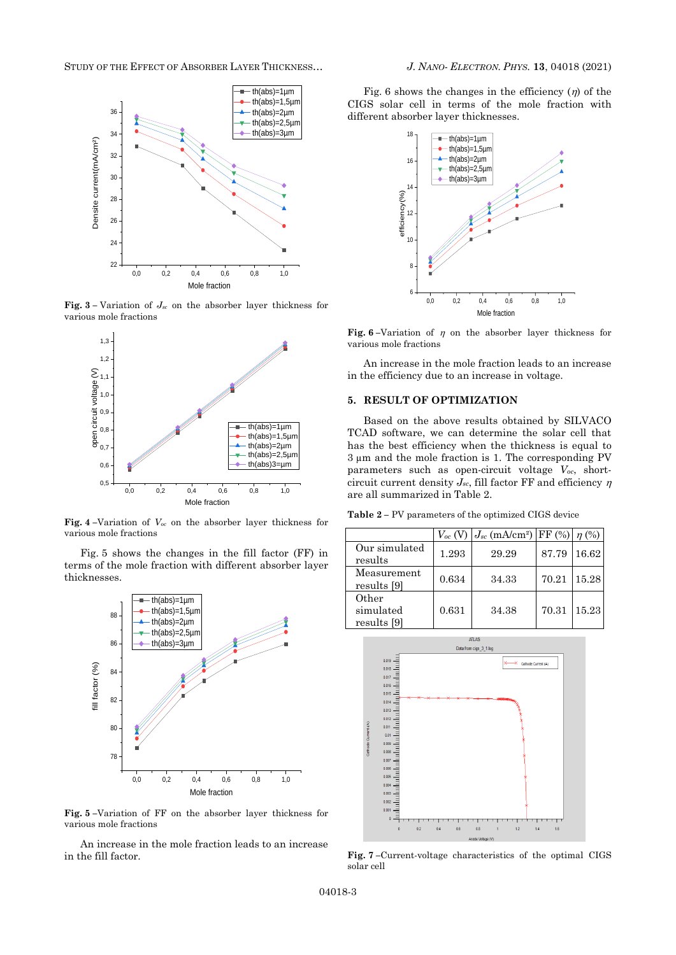STUDY OF THE EFFECT OF ABSORBER LAYER THICKNESS… *J. NANO- ELECTRON. PHYS.* **[13](#page-0-2)**, [04018](#page-0-2) [\(2021\)](#page-0-2)



**Fig.** 3 – Variation of  $J_{sc}$  on the absorber layer thickness for various mole fractions



**Fig. 4 –**Variation of *Voc* on the absorber layer thickness for various mole fractions

Fig. 5 shows the changes in the fill factor (FF) in terms of the mole fraction with different absorber layer thicknesses.



**Fig. 5 –**Variation of FF on the absorber layer thickness for various mole fractions

An increase in the mole fraction leads to an increase in the fill factor.

th(abs)=1µm | Fig. 6 shows the changes in the efficiency  $(\eta)$  of the th(abs)=1,5µm CIGS solar cell in terms of the mole fraction with th(abs)=2µm different absorber layer thicknesses.



**Fig.** 6–Variation of  $\eta$  on the absorber layer thickness for various mole fractions

An increase in the mole fraction leads to an increase in the efficiency due to an increase in voltage.

### **5. RESULT OF OPTIMIZATION**

Based on the above results obtained by SILVACO  $\text{Tr}(\text{abs})=1,5\,\text{µm}$  TCAD software, we can determine the solar cell that th(abs)=2 $\mu$ m | has the best efficiency when the thickness is equal to th(abs)=2,5µm 3 µm and the mole fraction is 1. The corresponding PV parameters such as open-circuit voltage *Voc*, shortcircuit current density  $J_{sc}$ , fill factor FF and efficiency  $\eta$ are all summarized in Table 2.

**Table 2 –** PV parameters of the optimized CIGS device

|                                   | $V_{oc}$ (V | $J_{sc}$ (mA/cm <sup>2</sup> ) FF (%) $\eta$ (%) |       |       |
|-----------------------------------|-------------|--------------------------------------------------|-------|-------|
| Our simulated<br>results          | 1.293       | 29.29                                            | 87.79 | 16.62 |
| Measurement<br>results [9]        | 0.634       | 34.33                                            | 70.21 | 15.28 |
| Other<br>simulated<br>results [9] | 0.631       | 34.38                                            | 70.31 | 15.23 |



**Fig. 7 –**Current-voltage characteristics of the optimal CIGS solar cell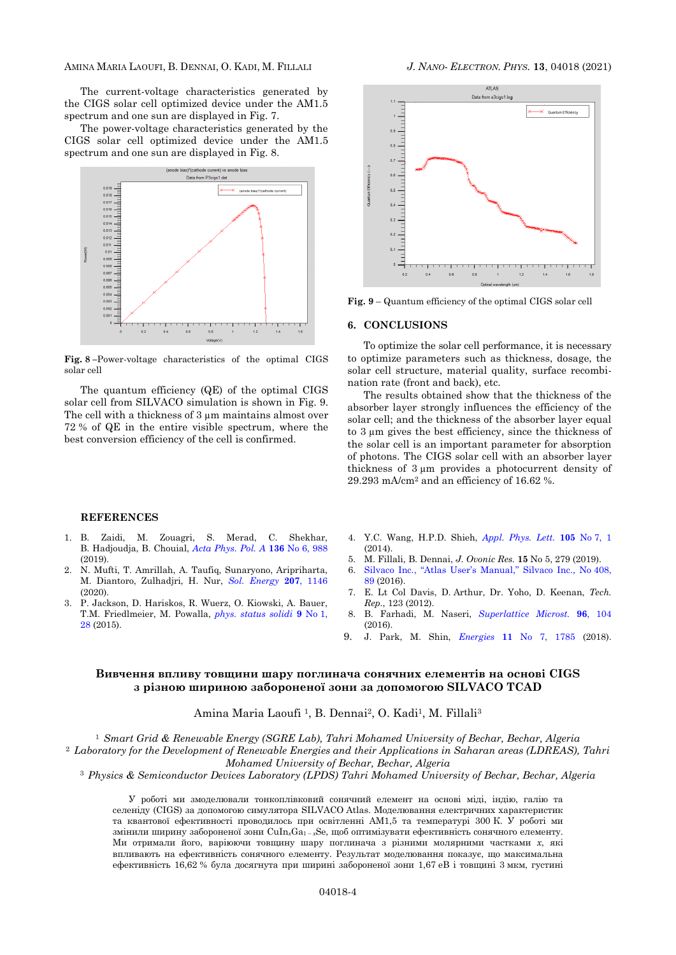#### AMINA MARIA LAOUFI, B. DENNAI, O. KADI, M. FILLALI *J. NANO- ELECTRON. PHYS.* **[13](#page-0-2)**, [04018](#page-0-2) [\(2021\)](#page-0-2)

The current-voltage characteristics generated by the CIGS solar cell optimized device under the AM1.5 spectrum and one sun are displayed in Fig. 7.

The power-voltage characteristics generated by the CIGS solar cell optimized device under the AM1.5 spectrum and one sun are displayed in Fig. 8.



**Fig. 8 –**Power-voltage characteristics of the optimal CIGS solar cell

The quantum efficiency (QE) of the optimal CIGS solar cell from SILVACO simulation is shown in Fig. 9. The cell with a thickness of 3  $\mu$ m maintains almost over 72 % of QE in the entire visible spectrum, where the best conversion efficiency of the cell is confirmed.

#### **REFERENCES**

- 1. B. Zaidi, M. Zouagri, S. Merad, C. Shekhar, B. Hadjoudja, B. Chouial, *[Acta Phys. Pol. A](https://doi.org/10.12693/APhysPolA.136.988)* **136** No 6, 988 (2019).
- 2. N. Mufti, T. Amrillah, A. Taufiq, Sunaryono, Aripriharta, M. Diantoro, Zulhadjri, H. Nur, *[Sol. Energy](https://doi.org/10.1016/j.solener.2020.07.065)* **207**, 1146 (2020).
- 3. P. Jackson, D. Hariskos, R. Wuerz, O. Kiowski, A. Bauer, T.M. Friedlmeier, M. Powalla, *[phys. status solidi](https://doi.org/10.1002/pssr.201409520)* **9** No 1, [28](https://doi.org/10.1002/pssr.201409520) (2015).



**Fig. 9** – Quantum efficiency of the optimal CIGS solar cell

#### **6. CONCLUSIONS**

To optimize the solar cell performance, it is necessary to optimize parameters such as thickness, dosage, the solar cell structure, material quality, surface recombination rate (front and back), etc.

The results obtained show that the thickness of the absorber layer strongly influences the efficiency of the solar cell; and the thickness of the absorber layer equal to 3 µm gives the best efficiency, since the thickness of the solar cell is an important parameter for absorption of photons. The CIGS solar cell with an absorber layer thickness of 3 µm provides a photocurrent density of 29.293 mA/cm<sup>2</sup> and an efficiency of 16.62 %.

- 4. Y.C. Wang, H.P.D. Shieh, *[Appl. Phys. Lett.](https://doi.org/10.1063/1.4893713)* **105** No 7, 1  $(2014)$
- 5. M. Fillali, B. Dennai, *J. Ovonic Res.* **15** No 5, 279 (2019).
- 6. [Silvaco Inc., "Atlas User's Manual," Silvaco Inc.](https://dynamic.silvaco.com/dynamicweb/jsp/downloads/DownloadManualsAction.do?req=silen-manuals&nm=atlas), No 408, [89](https://dynamic.silvaco.com/dynamicweb/jsp/downloads/DownloadManualsAction.do?req=silen-manuals&nm=atlas) (2016).
- 7. E. Lt Col Davis, D. Arthur, Dr. Yoho, D. Keenan, *Tech. Rep.*, 123 (2012).
- 8. B. Farhadi, M. Naseri, *[Superlattice](https://doi.org/10.1016/j.spmi.2016.05.014) Microst.* **96**, 104 (2016).
- 9. J. Park, M. Shin, *Energies* **11** [No 7, 1785](https://doi.org/10.3390/en11071785) (2018).

## **Вивчення впливу товщини шару поглинача сонячних елементів на основі CIGS з різною шириною забороненої зони за допомогою SILVACO TCAD**

Amina Maria Laoufi<sup>1</sup>, B. Dennai<sup>2</sup>, O. Kadi<sup>1</sup>, M. Fillali<sup>3</sup>

<sup>1</sup> *Smart Grid & Renewable Energy (SGRE Lab), Tahri Mohamed University of Bechar, Bechar, Algeria*

<sup>2</sup> *Laboratory for the Development of Renewable Energies and their Applications in Saharan areas (LDREAS), Tahri Mohamed University of Bechar, Bechar, Algeria*

<sup>3</sup> *Physics & Semiconductor Devices Laboratory (LPDS) Tahri Mohamed University of Bechar, Bechar, Algeria*

У роботі ми змоделювали тонкоплівковий сонячний елемент на основі міді, індію, галію та селеніду (CIGS) за допомогою симулятора SILVACO Atlas. Моделювання електричних характеристик та квантової ефективності проводилось при освітленні AM1,5 та температурі 300 К. У роботі ми змінили ширину забороненої зони CuIn*x*Ga<sup>1</sup> – *<sup>x</sup>*Se, щоб оптимізувати ефективність сонячного елементу. Ми отримали його, варіюючи товщину шару поглинача з різними молярними частками *x*, які впливають на ефективність сонячного елементу. Результат моделювання показує, що максимальна ефективність 16,62 % була досягнута при ширині забороненої зони 1,67 еВ і товщині 3 мкм, густині